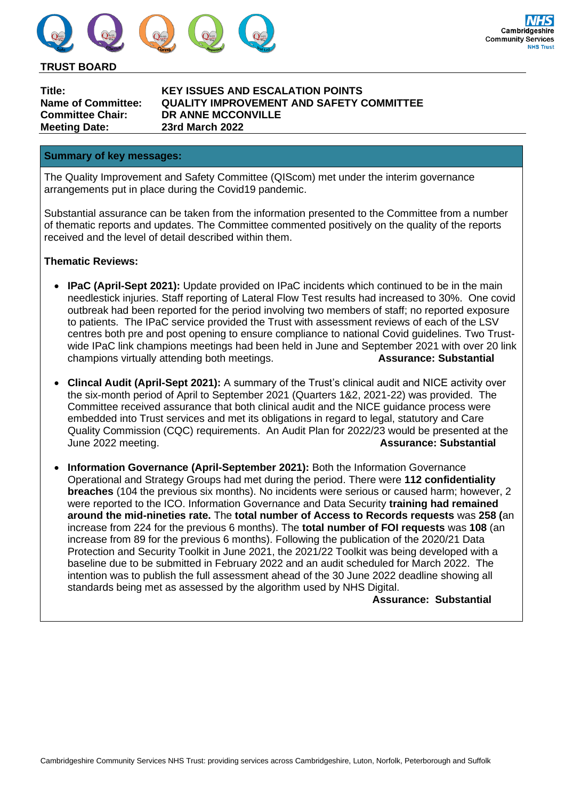

#### **TRUST BOARD**

**Meeting Date: 23rd March 2022**

**Title: KEY ISSUES AND ESCALATION POINTS Name of Committee: QUALITY IMPROVEMENT AND SAFETY COMMITTEE Committee Chair: DR ANNE MCCONVILLE**

#### **Summary of key messages:**

The Quality Improvement and Safety Committee (QIScom) met under the interim governance arrangements put in place during the Covid19 pandemic.

Substantial assurance can be taken from the information presented to the Committee from a number of thematic reports and updates. The Committee commented positively on the quality of the reports received and the level of detail described within them.

### **Thematic Reviews:**

- **IPaC (April-Sept 2021):** Update provided on IPaC incidents which continued to be in the main needlestick injuries. Staff reporting of Lateral Flow Test results had increased to 30%. One covid outbreak had been reported for the period involving two members of staff; no reported exposure to patients. The IPaC service provided the Trust with assessment reviews of each of the LSV centres both pre and post opening to ensure compliance to national Covid guidelines. Two Trustwide IPaC link champions meetings had been held in June and September 2021 with over 20 link<br>champions virtually attending both meetings.<br>**Assurance: Substantial** champions virtually attending both meetings.
- **Clincal Audit (April-Sept 2021):** A summary of the Trust's clinical audit and NICE activity over the six-month period of April to September 2021 (Quarters 1&2, 2021-22) was provided. The Committee received assurance that both clinical audit and the NICE guidance process were embedded into Trust services and met its obligations in regard to legal, statutory and Care Quality Commission (CQC) requirements. An Audit Plan for 2022/23 would be presented at the June 2022 meeting. **Assurance: Substantial**
- **Information Governance (April-September 2021):** Both the Information Governance Operational and Strategy Groups had met during the period. There were **112 confidentiality breaches** (104 the previous six months). No incidents were serious or caused harm; however, 2 were reported to the ICO. Information Governance and Data Security **training had remained around the mid-nineties rate.** The **total number of Access to Records requests** was **258 (**an increase from 224 for the previous 6 months). The **total number of FOI requests** was **108** (an increase from 89 for the previous 6 months). Following the publication of the 2020/21 Data Protection and Security Toolkit in June 2021, the 2021/22 Toolkit was being developed with a baseline due to be submitted in February 2022 and an audit scheduled for March 2022. The intention was to publish the full assessment ahead of the 30 June 2022 deadline showing all standards being met as assessed by the algorithm used by NHS Digital.

#### **Assurance: Substantial**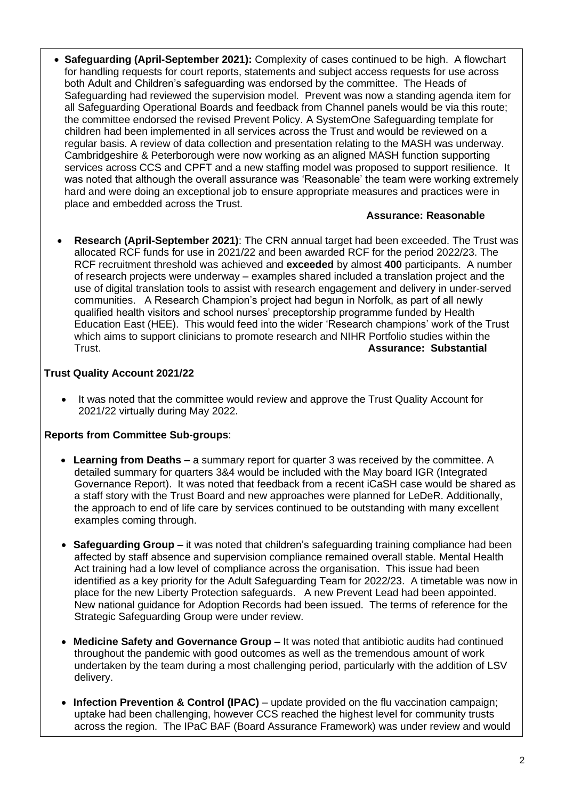• **Safeguarding (April-September 2021):** Complexity of cases continued to be high. A flowchart for handling requests for court reports, statements and subject access requests for use across both Adult and Children's safeguarding was endorsed by the committee. The Heads of Safeguarding had reviewed the supervision model. Prevent was now a standing agenda item for all Safeguarding Operational Boards and feedback from Channel panels would be via this route; the committee endorsed the revised Prevent Policy. A SystemOne Safeguarding template for children had been implemented in all services across the Trust and would be reviewed on a regular basis. A review of data collection and presentation relating to the MASH was underway. Cambridgeshire & Peterborough were now working as an aligned MASH function supporting services across CCS and CPFT and a new staffing model was proposed to support resilience. It was noted that although the overall assurance was 'Reasonable' the team were working extremely hard and were doing an exceptional job to ensure appropriate measures and practices were in place and embedded across the Trust.

# **Assurance: Reasonable**

• **Research (April-September 2021)**: The CRN annual target had been exceeded. The Trust was allocated RCF funds for use in 2021/22 and been awarded RCF for the period 2022/23. The RCF recruitment threshold was achieved and **exceeded** by almost **400** participants. A number of research projects were underway – examples shared included a translation project and the use of digital translation tools to assist with research engagement and delivery in under-served communities. A Research Champion's project had begun in Norfolk, as part of all newly qualified health visitors and school nurses' preceptorship programme funded by Health Education East (HEE). This would feed into the wider 'Research champions' work of the Trust which aims to support clinicians to promote research and NIHR Portfolio studies within the Trust. **Assurance: Substantial**

# **Trust Quality Account 2021/22**

• It was noted that the committee would review and approve the Trust Quality Account for 2021/22 virtually during May 2022.

### **Reports from Committee Sub-groups**:

- **Learning from Deaths –** a summary report for quarter 3 was received by the committee. A detailed summary for quarters 3&4 would be included with the May board IGR (Integrated Governance Report). It was noted that feedback from a recent iCaSH case would be shared as a staff story with the Trust Board and new approaches were planned for LeDeR. Additionally, the approach to end of life care by services continued to be outstanding with many excellent examples coming through.
- • **Safeguarding Group –** it was noted that children's safeguarding training compliance had been affected by staff absence and supervision compliance remained overall stable. Mental Health Act training had a low level of compliance across the organisation. This issue had been identified as a key priority for the Adult Safeguarding Team for 2022/23. A timetable was now in place for the new Liberty Protection safeguards. A new Prevent Lead had been appointed. New national guidance for Adoption Records had been issued. The terms of reference for the Strategic Safeguarding Group were under review.
- • **Medicine Safety and Governance Group –** It was noted that antibiotic audits had continued throughout the pandemic with good outcomes as well as the tremendous amount of work undertaken by the team during a most challenging period, particularly with the addition of LSV delivery.
- • **Infection Prevention & Control (IPAC)** update provided on the flu vaccination campaign; uptake had been challenging, however CCS reached the highest level for community trusts across the region. The IPaC BAF (Board Assurance Framework) was under review and would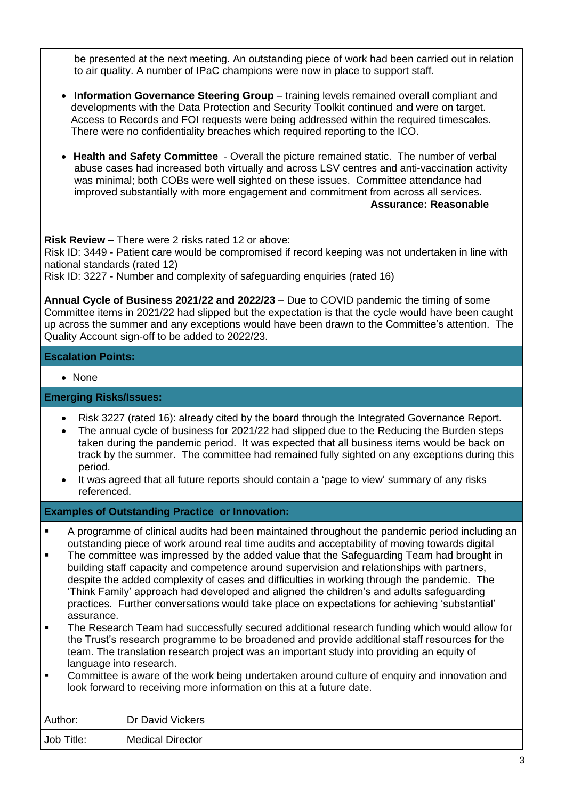be presented at the next meeting. An outstanding piece of work had been carried out in relation to air quality. A number of IPaC champions were now in place to support staff.

- **Information Governance Steering Group** training levels remained overall compliant and developments with the Data Protection and Security Toolkit continued and were on target. Access to Records and FOI requests were being addressed within the required timescales. There were no confidentiality breaches which required reporting to the ICO.
- • **Health and Safety Committee** Overall the picture remained static. The number of verbal abuse cases had increased both virtually and across LSV centres and anti-vaccination activity was minimal; both COBs were well sighted on these issues. Committee attendance had improved substantially with more engagement and commitment from across all services.  **Assurance: Reasonable**

**Risk Review –** There were 2 risks rated 12 or above:

Risk ID: 3449 - Patient care would be compromised if record keeping was not undertaken in line with national standards (rated 12)

Risk ID: 3227 - Number and complexity of safeguarding enquiries (rated 16)

**Annual Cycle of Business 2021/22 and 2022/23** – Due to COVID pandemic the timing of some Committee items in 2021/22 had slipped but the expectation is that the cycle would have been caught up across the summer and any exceptions would have been drawn to the Committee's attention. The Quality Account sign-off to be added to 2022/23.

## **Escalation Points:**

• None

### **Emerging Risks/Issues:**

- Risk 3227 (rated 16): already cited by the board through the Integrated Governance Report.
- The annual cycle of business for 2021/22 had slipped due to the Reducing the Burden steps taken during the pandemic period. It was expected that all business items would be back on track by the summer. The committee had remained fully sighted on any exceptions during this period.
- It was agreed that all future reports should contain a 'page to view' summary of any risks referenced.

**Examples of Outstanding Practice or Innovation:**

- A programme of clinical audits had been maintained throughout the pandemic period including an outstanding piece of work around real time audits and acceptability of moving towards digital
- **The committee was impressed by the added value that the Safeguarding Team had brought in** building staff capacity and competence around supervision and relationships with partners, despite the added complexity of cases and difficulties in working through the pandemic. The 'Think Family' approach had developed and aligned the children's and adults safeguarding practices. Further conversations would take place on expectations for achieving 'substantial' assurance.
- The Research Team had successfully secured additional research funding which would allow for the Trust's research programme to be broadened and provide additional staff resources for the team. The translation research project was an important study into providing an equity of language into research.
- Committee is aware of the work being undertaken around culture of enguiry and innovation and look forward to receiving more information on this at a future date.

| Author:    | Dr David Vickers        |
|------------|-------------------------|
| Job Title: | <b>Medical Director</b> |